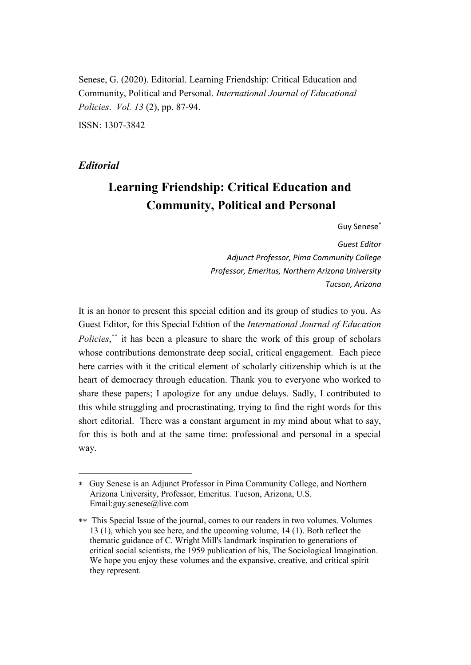Senese, G. (2020). Editorial. Learning Friendship: Critical Education and Community, Political and Personal. *International Journal of Educational Policies*. *Vol. 13* (2), pp. 87-94.

ISSN: 1307-3842

# *Editorial*

 $\overline{a}$ 

# **Learning Friendship: Critical Education and Community, Political and Personal**

Guy Senese

*Guest Editor Adjunct Professor, Pima Community College Professor, Emeritus, Northern Arizona University Tucson, Arizona*

It is an honor to present this special edition and its group of studies to you. As Guest Editor, for this Special Edition of the *International Journal of Education*  Policies,<sup>\*\*</sup> it has been a pleasure to share the work of this group of scholars whose contributions demonstrate deep social, critical engagement. Each piece here carries with it the critical element of scholarly citizenship which is at the heart of democracy through education. Thank you to everyone who worked to share these papers; I apologize for any undue delays. Sadly, I contributed to this while struggling and procrastinating, trying to find the right words for this short editorial. There was a constant argument in my mind about what to say, for this is both and at the same time: professional and personal in a special way.

Guy Senese is an Adjunct Professor in Pima Community College, and Northern Arizona University, Professor, Emeritus. Tucson, Arizona, U.S. Email:guy.senese@live.com

This Special Issue of the journal, comes to our readers in two volumes. Volumes 13 (1), which you see here, and the upcoming volume, 14 (1). Both reflect the thematic guidance of C. Wright Mill's landmark inspiration to generations of critical social scientists, the 1959 publication of his, The Sociological Imagination. We hope you enjoy these volumes and the expansive, creative, and critical spirit they represent.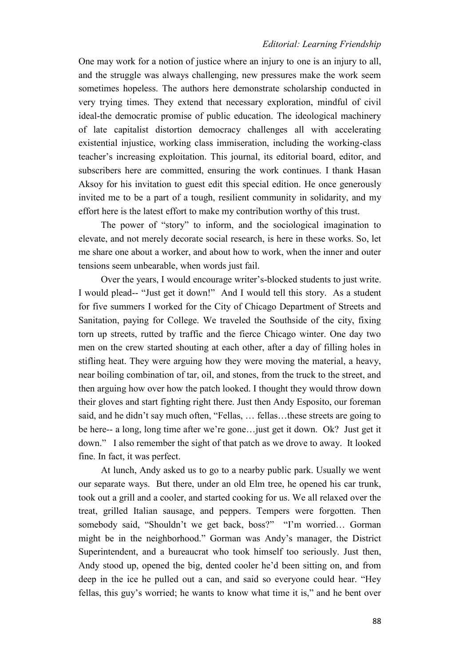### *Editorial: Learning Friendship*

One may work for a notion of justice where an injury to one is an injury to all, and the struggle was always challenging, new pressures make the work seem sometimes hopeless. The authors here demonstrate scholarship conducted in very trying times. They extend that necessary exploration, mindful of civil ideal-the democratic promise of public education. The ideological machinery of late capitalist distortion democracy challenges all with accelerating existential injustice, working class immiseration, including the working-class teacher's increasing exploitation. This journal, its editorial board, editor, and subscribers here are committed, ensuring the work continues. I thank Hasan Aksoy for his invitation to guest edit this special edition. He once generously invited me to be a part of a tough, resilient community in solidarity, and my effort here is the latest effort to make my contribution worthy of this trust.

The power of "story" to inform, and the sociological imagination to elevate, and not merely decorate social research, is here in these works. So, let me share one about a worker, and about how to work, when the inner and outer tensions seem unbearable, when words just fail.

Over the years, I would encourage writer's-blocked students to just write. I would plead-- "Just get it down!" And I would tell this story. As a student for five summers I worked for the City of Chicago Department of Streets and Sanitation, paying for College. We traveled the Southside of the city, fixing torn up streets, rutted by traffic and the fierce Chicago winter. One day two men on the crew started shouting at each other, after a day of filling holes in stifling heat. They were arguing how they were moving the material, a heavy, near boiling combination of tar, oil, and stones, from the truck to the street, and then arguing how over how the patch looked. I thought they would throw down their gloves and start fighting right there. Just then Andy Esposito, our foreman said, and he didn't say much often, "Fellas, … fellas…these streets are going to be here-- a long, long time after we're gone…just get it down. Ok? Just get it down." I also remember the sight of that patch as we drove to away. It looked fine. In fact, it was perfect.

At lunch, Andy asked us to go to a nearby public park. Usually we went our separate ways. But there, under an old Elm tree, he opened his car trunk, took out a grill and a cooler, and started cooking for us. We all relaxed over the treat, grilled Italian sausage, and peppers. Tempers were forgotten. Then somebody said, "Shouldn't we get back, boss?" "I'm worried… Gorman might be in the neighborhood." Gorman was Andy's manager, the District Superintendent, and a bureaucrat who took himself too seriously. Just then, Andy stood up, opened the big, dented cooler he'd been sitting on, and from deep in the ice he pulled out a can, and said so everyone could hear. "Hey fellas, this guy's worried; he wants to know what time it is," and he bent over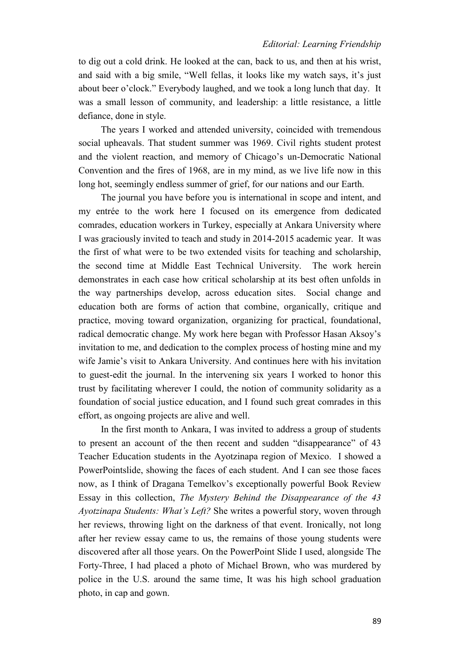to dig out a cold drink. He looked at the can, back to us, and then at his wrist, and said with a big smile, "Well fellas, it looks like my watch says, it's just about beer o'clock." Everybody laughed, and we took a long lunch that day. It was a small lesson of community, and leadership: a little resistance, a little defiance, done in style.

The years I worked and attended university, coincided with tremendous social upheavals. That student summer was 1969. Civil rights student protest and the violent reaction, and memory of Chicago's un-Democratic National Convention and the fires of 1968, are in my mind, as we live life now in this long hot, seemingly endless summer of grief, for our nations and our Earth.

The journal you have before you is international in scope and intent, and my entrée to the work here I focused on its emergence from dedicated comrades, education workers in Turkey, especially at Ankara University where I was graciously invited to teach and study in 2014-2015 academic year. It was the first of what were to be two extended visits for teaching and scholarship, the second time at Middle East Technical University. The work herein demonstrates in each case how critical scholarship at its best often unfolds in the way partnerships develop, across education sites. Social change and education both are forms of action that combine, organically, critique and practice, moving toward organization, organizing for practical, foundational, radical democratic change. My work here began with Professor Hasan Aksoy's invitation to me, and dedication to the complex process of hosting mine and my wife Jamie's visit to Ankara University. And continues here with his invitation to guest-edit the journal. In the intervening six years I worked to honor this trust by facilitating wherever I could, the notion of community solidarity as a foundation of social justice education, and I found such great comrades in this effort, as ongoing projects are alive and well.

In the first month to Ankara, I was invited to address a group of students to present an account of the then recent and sudden "disappearance" of 43 Teacher Education students in the Ayotzinapa region of Mexico. I showed a PowerPointslide, showing the faces of each student. And I can see those faces now, as I think of Dragana Temelkov's exceptionally powerful Book Review Essay in this collection, *The Mystery Behind the Disappearance of the 43 Ayotzinapa Students: What's Left?* She writes a powerful story, woven through her reviews, throwing light on the darkness of that event. Ironically, not long after her review essay came to us, the remains of those young students were discovered after all those years. On the PowerPoint Slide I used, alongside The Forty-Three, I had placed a photo of Michael Brown, who was murdered by police in the U.S. around the same time, It was his high school graduation photo, in cap and gown.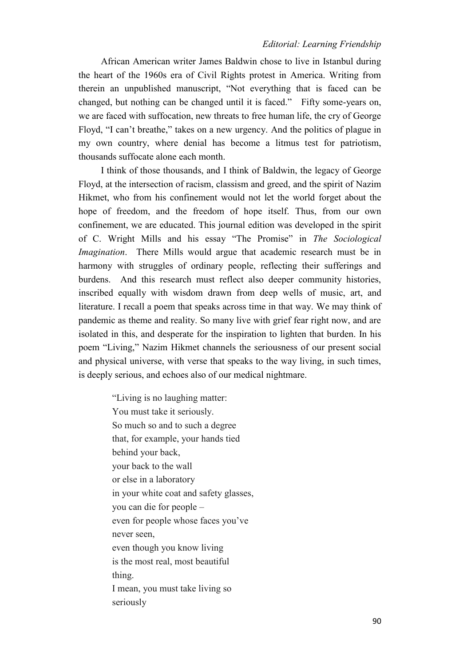## *Editorial: Learning Friendship*

African American writer James Baldwin chose to live in Istanbul during the heart of the 1960s era of Civil Rights protest in America. Writing from therein an unpublished manuscript, "Not everything that is faced can be changed, but nothing can be changed until it is faced." Fifty some-years on, we are faced with suffocation, new threats to free human life, the cry of George Floyd, "I can't breathe," takes on a new urgency. And the politics of plague in my own country, where denial has become a litmus test for patriotism, thousands suffocate alone each month.

I think of those thousands, and I think of Baldwin, the legacy of George Floyd, at the intersection of racism, classism and greed, and the spirit of Nazim Hikmet, who from his confinement would not let the world forget about the hope of freedom, and the freedom of hope itself. Thus, from our own confinement, we are educated. This journal edition was developed in the spirit of C. Wright Mills and his essay "The Promise" in *The Sociological Imagination*. There Mills would argue that academic research must be in harmony with struggles of ordinary people, reflecting their sufferings and burdens. And this research must reflect also deeper community histories, inscribed equally with wisdom drawn from deep wells of music, art, and literature. I recall a poem that speaks across time in that way. We may think of pandemic as theme and reality. So many live with grief fear right now, and are isolated in this, and desperate for the inspiration to lighten that burden. In his poem "Living," Nazim Hikmet channels the seriousness of our present social and physical universe, with verse that speaks to the way living, in such times, is deeply serious, and echoes also of our medical nightmare.

> "Living is no laughing matter: You must take it seriously. So much so and to such a degree that, for example, your hands tied behind your back, your back to the wall or else in a laboratory in your white coat and safety glasses, you can die for people – even for people whose faces you've never seen, even though you know living is the most real, most beautiful thing. I mean, you must take living so seriously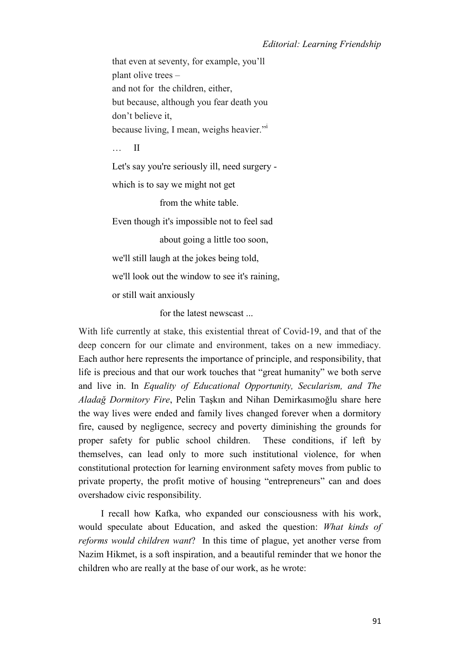that even at seventy, for example, you'll plant olive trees – and not for the children, either, but because, although you fear death you don't believe it, because living, I mean, weighs heavier."

… II

Let's say you're seriously ill, need surgery -

which is to say we might not get

from the white table.

Even though it's impossible not to feel sad

about going a little too soon,

we'll still laugh at the jokes being told,

we'll look out the window to see it's raining,

or still wait anxiously

for the latest newscast ...

With life currently at stake, this existential threat of Covid-19, and that of the deep concern for our climate and environment, takes on a new immediacy. Each author here represents the importance of principle, and responsibility, that life is precious and that our work touches that "great humanity" we both serve and live in. In *Equality of Educational Opportunity, Secularism, and The Aladağ Dormitory Fire*, Pelin Taşkın and Nihan Demirkasımoğlu share here the way lives were ended and family lives changed forever when a dormitory fire, caused by negligence, secrecy and poverty diminishing the grounds for proper safety for public school children. These conditions, if left by themselves, can lead only to more such institutional violence, for when constitutional protection for learning environment safety moves from public to private property, the profit motive of housing "entrepreneurs" can and does overshadow civic responsibility.

I recall how Kafka, who expanded our consciousness with his work, would speculate about Education, and asked the question: *What kinds of reforms would children want*? In this time of plague, yet another verse from Nazim Hikmet, is a soft inspiration, and a beautiful reminder that we honor the children who are really at the base of our work, as he wrote: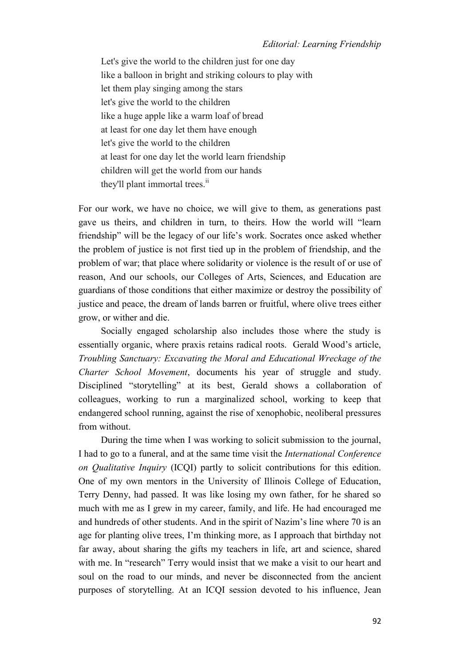Let's give the world to the children just for one day like a balloon in bright and striking colours to play with let them play singing among the stars let's give the world to the children like a huge apple like a warm loaf of bread at least for one day let them have enough let's give the world to the children at least for one day let the world learn friendship children will get the world from our hands they'll plant immortal trees.<sup>ii</sup>

For our work, we have no choice, we will give to them, as generations past gave us theirs, and children in turn, to theirs. How the world will "learn friendship" will be the legacy of our life's work. Socrates once asked whether the problem of justice is not first tied up in the problem of friendship, and the problem of war; that place where solidarity or violence is the result of or use of reason, And our schools, our Colleges of Arts, Sciences, and Education are guardians of those conditions that either maximize or destroy the possibility of justice and peace, the dream of lands barren or fruitful, where olive trees either grow, or wither and die.

Socially engaged scholarship also includes those where the study is essentially organic, where praxis retains radical roots. Gerald Wood's article, *Troubling Sanctuary: Excavating the Moral and Educational Wreckage of the Charter School Movement*, documents his year of struggle and study. Disciplined "storytelling" at its best, Gerald shows a collaboration of colleagues, working to run a marginalized school, working to keep that endangered school running, against the rise of xenophobic, neoliberal pressures from without.

During the time when I was working to solicit submission to the journal, I had to go to a funeral, and at the same time visit the *International Conference on Qualitative Inquiry* (ICQI) partly to solicit contributions for this edition. One of my own mentors in the University of Illinois College of Education, Terry Denny, had passed. It was like losing my own father, for he shared so much with me as I grew in my career, family, and life. He had encouraged me and hundreds of other students. And in the spirit of Nazim's line where 70 is an age for planting olive trees, I'm thinking more, as I approach that birthday not far away, about sharing the gifts my teachers in life, art and science, shared with me. In "research" Terry would insist that we make a visit to our heart and soul on the road to our minds, and never be disconnected from the ancient purposes of storytelling. At an ICQI session devoted to his influence, Jean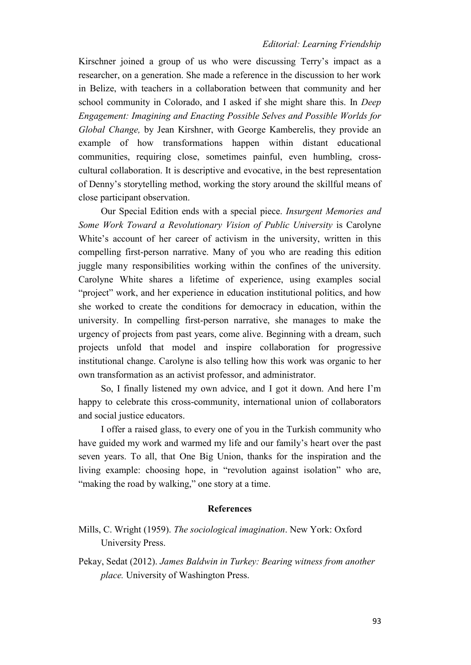### *Editorial: Learning Friendship*

Kirschner joined a group of us who were discussing Terry's impact as a researcher, on a generation. She made a reference in the discussion to her work in Belize, with teachers in a collaboration between that community and her school community in Colorado, and I asked if she might share this. In *Deep Engagement: Imagining and Enacting Possible Selves and Possible Worlds for Global Change,* by Jean Kirshner, with George Kamberelis, they provide an example of how transformations happen within distant educational communities, requiring close, sometimes painful, even humbling, crosscultural collaboration. It is descriptive and evocative, in the best representation of Denny's storytelling method, working the story around the skillful means of close participant observation.

Our Special Edition ends with a special piece. *Insurgent Memories and Some Work Toward a Revolutionary Vision of Public University* is Carolyne White's account of her career of activism in the university, written in this compelling first-person narrative. Many of you who are reading this edition juggle many responsibilities working within the confines of the university. Carolyne White shares a lifetime of experience, using examples social "project" work, and her experience in education institutional politics, and how she worked to create the conditions for democracy in education, within the university. In compelling first-person narrative, she manages to make the urgency of projects from past years, come alive. Beginning with a dream, such projects unfold that model and inspire collaboration for progressive institutional change. Carolyne is also telling how this work was organic to her own transformation as an activist professor, and administrator.

So, I finally listened my own advice, and I got it down. And here I'm happy to celebrate this cross-community, international union of collaborators and social justice educators.

I offer a raised glass, to every one of you in the Turkish community who have guided my work and warmed my life and our family's heart over the past seven years. To all, that One Big Union, thanks for the inspiration and the living example: choosing hope, in "revolution against isolation" who are, "making the road by walking," one story at a time.

#### **References**

- Mills, C. Wright (1959). *The sociological imagination*. New York: Oxford University Press.
- Pekay, Sedat (2012). *James Baldwin in Turkey: Bearing witness from another place.* University of Washington Press.